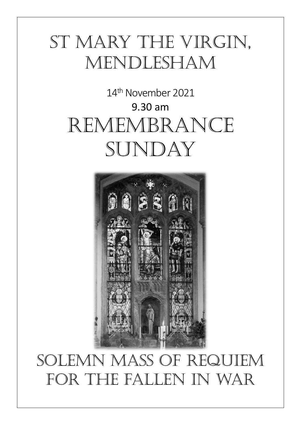# St Mary the Virgin, Mendlesham

# 14 th November 2021 9.30 am REMEMBRANCE SUNDAY



# Solemn Mass of Requiem for the Fallen in War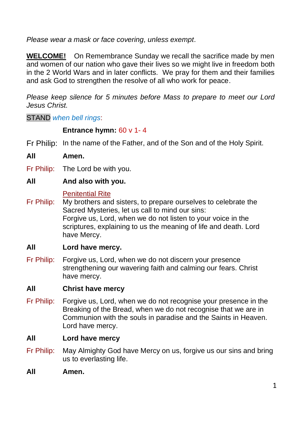*Please wear a mask or face covering, unless exempt*.

**WELCOME!** On Remembrance Sunday we recall the sacrifice made by men and women of our nation who gave their lives so we might live in freedom both in the 2 World Wars and in later conflicts. We pray for them and their families and ask God to strengthen the resolve of all who work for peace.

*Please keep silence for 5 minutes before Mass to prepare to meet our Lord Jesus Christ.*

### STAND *when bell rings*:

# **Entrance hymn:** 60 v 1- 4

Fr Philip: In the name of the Father, and of the Son and of the Holy Spirit.

#### **All Amen.**

- Fr Philip: The Lord be with you.
- **All And also with you.**

#### Penitential Rite

Fr Philip: My brothers and sisters, to prepare ourselves to celebrate the Sacred Mysteries, let us call to mind our sins: Forgive us, Lord, when we do not listen to your voice in the scriptures, explaining to us the meaning of life and death. Lord have Mercy.

### **All Lord have mercy.**

Fr Philip: Forgive us, Lord, when we do not discern your presence strengthening our wavering faith and calming our fears. Christ have mercy.

#### **All Christ have mercy**

Fr Philip: Forgive us, Lord, when we do not recognise your presence in the Breaking of the Bread, when we do not recognise that we are in Communion with the souls in paradise and the Saints in Heaven. Lord have mercy.

#### **All Lord have mercy**

- Fr Philip: May Almighty God have Mercy on us, forgive us our sins and bring us to everlasting life.
- **All Amen.**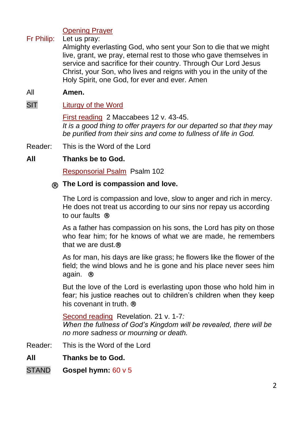### Opening Prayer

Fr Philip: Let us pray:

> Almighty everlasting God, who sent your Son to die that we might live, grant, we pray, eternal rest to those who gave themselves in service and sacrifice for their country. Through Our Lord Jesus Christ, your Son, who lives and reigns with you in the unity of the Holy Spirit, one God, for ever and ever. Amen

#### All **Amen.**

SIT Liturgy of the Word

First reading 2 Maccabees 12 v. 43-45. *It is a good thing to offer prayers for our departed so that they may be purified from their sins and come to fullness of life in God.*

Reader: This is the Word of the Lord

### **All Thanks be to God.**

Responsorial Psalm Psalm 102

#### **The Lord is compassion and love.**

The Lord is compassion and love, slow to anger and rich in mercy. He does not treat us according to our sins nor repay us according to our faults

As a father has compassion on his sons, the Lord has pity on those who fear him; for he knows of what we are made, he remembers that we are dust.

As for man, his days are like grass; he flowers like the flower of the field; the wind blows and he is gone and his place never sees him again. ®

But the love of the Lord is everlasting upon those who hold him in fear; his justice reaches out to children's children when they keep his covenant in truth. ®

Second reading Revelation. 21 v. 1-7*: When the fullness of God's Kingdom will be revealed, there will be no more sadness or mourning or death.*

- Reader: This is the Word of the Lord
- **All Thanks be to God.**
- STAND **Gospel hymn:** 60 v 5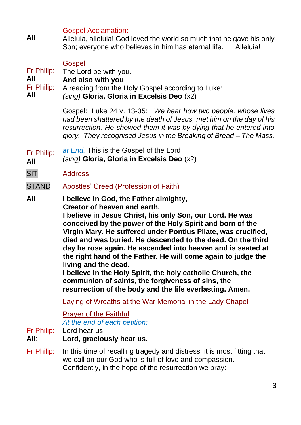**All** Fr Philip: **All** Fr Philip: **All** Fr Philip: **All** Gospel Acclamation: Alleluia, alleluia! God loved the world so much that he gave his only Son: everyone who believes in him has eternal life. Alleluia! **Gospel** The Lord be with you. **And also with you**. A reading from the Holy Gospel according to Luke: *(sing)* **Gloria, Gloria in Excelsis Deo** (x2) Gospel: Luke 24 v. 13-35: *We hear how two people, whose lives had been shattered by the death of Jesus, met him on the day of his resurrection. He showed them it was by dying that he entered into glory. They recognised Jesus in the Breaking of Bread – The Mass. at End.* This is the Gospel of the Lord *(sing)* **Gloria, Gloria in Excelsis Deo** (x2) SIT Address STAND Apostles' Creed (Profession of Faith) **All I believe in God, the Father almighty, Creator of heaven and earth. I believe in Jesus Christ, his only Son, our Lord. He was conceived by the power of the Holy Spirit and born of the Virgin Mary. He suffered under Pontius Pilate, was crucified, died and was buried. He descended to the dead. On the third day he rose again. He ascended into heaven and is seated at the right hand of the Father. He will come again to judge the living and the dead. I believe in the Holy Spirit, the holy catholic Church, the communion of saints, the forgiveness of sins, the resurrection of the body and the life everlasting. Amen.** Laying of Wreaths at the War Memorial in the Lady Chapel Fr Philip: **All**: Prayer of the Faithful *At the end of each petition:* Lord hear us **Lord, graciously hear us.** Fr Philip: In this time of recalling tragedy and distress, it is most fitting that we call on our God who is full of love and compassion. Confidently, in the hope of the resurrection we pray:

3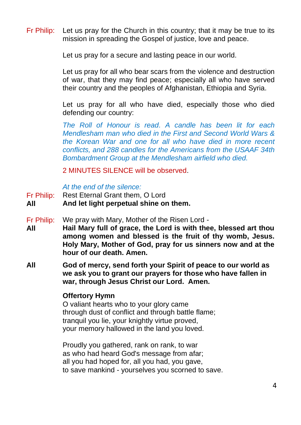Fr Philip: Let us pray for the Church in this country; that it may be true to its mission in spreading the Gospel of justice, love and peace.

Let us pray for a secure and lasting peace in our world.

Let us pray for all who bear scars from the violence and destruction of war, that they may find peace; especially all who have served their country and the peoples of Afghanistan, Ethiopia and Syria.

Let us pray for all who have died, especially those who died defending our country:

*The Roll of Honour is read. A candle has been lit for each Mendlesham man who died in the First and Second World Wars & the Korean War and one for all who have died in more recent conflicts, and 288 candles for the Americans from the USAAF 34th Bombardment Group at the Mendlesham airfield who died.*

2 MINUTES SILENCE will be observed.

#### *At the end of the silence:*

- Fr Philip: Rest Eternal Grant them, O Lord
- **All And let light perpetual shine on them.**
- Fr Philip: We pray with Mary, Mother of the Risen Lord -
- **All Hail Mary full of grace, the Lord is with thee, blessed art thou among women and blessed is the fruit of thy womb, Jesus. Holy Mary, Mother of God, pray for us sinners now and at the hour of our death. Amen.**
- **All God of mercy, send forth your Spirit of peace to our world as we ask you to grant our prayers for those who have fallen in war, through Jesus Christ our Lord. Amen.**

#### **Offertory Hymn**

O valiant hearts who to your glory came through dust of conflict and through battle flame; tranquil you lie, your knightly virtue proved, your memory hallowed in the land you loved.

Proudly you gathered, rank on rank, to war as who had heard God's message from afar; all you had hoped for, all you had, you gave, to save mankind - yourselves you scorned to save.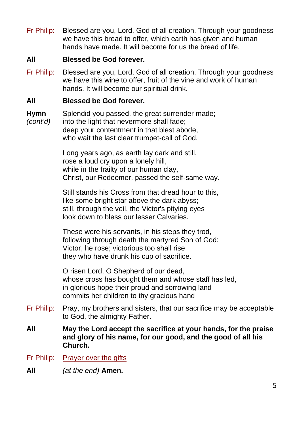Fr Philip: Blessed are you, Lord, God of all creation. Through your goodness we have this bread to offer, which earth has given and human hands have made. It will become for us the bread of life.

### **All Blessed be God forever.**

Fr Philip: Blessed are you, Lord, God of all creation. Through your goodness we have this wine to offer, fruit of the vine and work of human hands. It will become our spiritual drink.

#### **All Blessed be God forever.**

**Hymn** Splendid you passed, the great surrender made;

*(cont'd)* into the light that nevermore shall fade; deep your contentment in that blest abode, who wait the last clear trumpet-call of God.

> Long years ago, as earth lay dark and still, rose a loud cry upon a lonely hill, while in the frailty of our human clay. Christ, our Redeemer, passed the self-same way.

> Still stands his Cross from that dread hour to this, like some bright star above the dark abyss; still, through the veil, the Victor's pitying eyes look down to bless our lesser Calvaries.

> These were his servants, in his steps they trod, following through death the martyred Son of God: Victor, he rose; victorious too shall rise they who have drunk his cup of sacrifice.

O risen Lord, O Shepherd of our dead, whose cross has bought them and whose staff has led, in glorious hope their proud and sorrowing land commits her children to thy gracious hand

- Fr Philip: Pray, my brothers and sisters, that our sacrifice may be acceptable to God, the almighty Father.
- **All May the Lord accept the sacrifice at your hands, for the praise and glory of his name, for our good, and the good of all his Church.**
- Fr Philip: Prayer over the gifts
- **All** *(at the end)* **Amen.**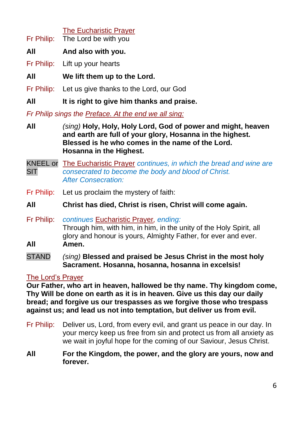The Eucharistic Prayer

- Fr Philip: The Lord be with you
- **All And also with you.**

Fr Philip: Lift up your hearts

**All We lift them up to the Lord.**

Fr Philip: Let us give thanks to the Lord, our God

**All It is right to give him thanks and praise.**

*Fr Philip sings the Preface. At the end we all sing:*

- **All** *(sing)* **Holy, Holy, Holy Lord, God of power and might, heaven and earth are full of your glory, Hosanna in the highest. Blessed is he who comes in the name of the Lord. Hosanna in the Highest.**
- KNEEL or The Eucharistic Prayer *continues, in which the bread and wine are*  **SIT** *consecrated to become the body and blood of Christ. After Consecration:*
- Fr Philip: Let us proclaim the mystery of faith:

**All Christ has died, Christ is risen, Christ will come again.**

Fr Philip: **All** *continues* Eucharistic Prayer*, ending:* Through him, with him, in him, in the unity of the Holy Spirit, all glory and honour is yours, Almighty Father, for ever and ever. **Amen.**

STAND *(sing)* **Blessed and praised be Jesus Christ in the most holy Sacrament. Hosanna, hosanna, hosanna in excelsis!**

### The Lord's Prayer

**Our Father, who art in heaven, hallowed be thy name. Thy kingdom come, Thy Will be done on earth as it is in heaven. Give us this day our daily bread; and forgive us our trespasses as we forgive those who trespass against us; and lead us not into temptation, but deliver us from evil.**

- Fr Philip: Deliver us, Lord, from every evil, and grant us peace in our day. In your mercy keep us free from sin and protect us from all anxiety as we wait in joyful hope for the coming of our Saviour, Jesus Christ.
- **All For the Kingdom, the power, and the glory are yours, now and forever.**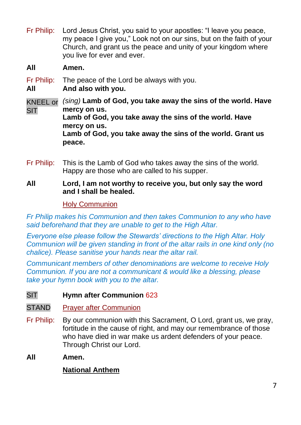Fr Philip: Lord Jesus Christ, you said to your apostles: "I leave you peace, my peace I give you," Look not on our sins, but on the faith of your Church, and grant us the peace and unity of your kingdom where you live for ever and ever.

#### **All Amen.**

Fr Philip: The peace of the Lord be always with you.

**All And also with you.**

KNEEL or *(sing)* **Lamb of God, you take away the sins of the world. Have SIT mercy on us. Lamb of God, you take away the sins of the world. Have mercy on us. Lamb of God, you take away the sins of the world. Grant us peace.**

Fr Philip: This is the Lamb of God who takes away the sins of the world. Happy are those who are called to his supper.

#### **All Lord, I am not worthy to receive you, but only say the word and I shall be healed.**

#### Holy Communion

*Fr Philip makes his Communion and then takes Communion to any who have said beforehand that they are unable to get to the High Altar.* 

*Everyone else please follow the Stewards' directions to the High Altar. Holy Communion will be given standing in front of the altar rails in one kind only (no chalice). Please sanitise your hands near the altar rail.*

*Communicant members of other denominations are welcome to receive Holy Communion. If you are not a communicant & would like a blessing, please take your hymn book with you to the altar.*

### SIT **Hymn after Communion** 623

### STAND Prayer after Communion

Fr Philip: By our communion with this Sacrament, O Lord, grant us, we pray, fortitude in the cause of right, and may our remembrance of those who have died in war make us ardent defenders of your peace. Through Christ our Lord.

**All Amen.**

**National Anthem**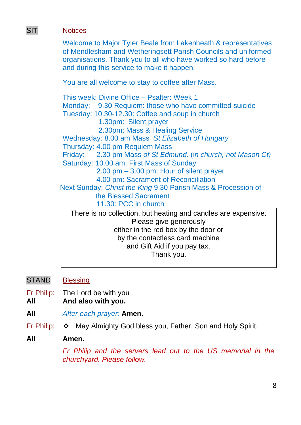#### SIT Notices

Welcome to Major Tyler Beale from Lakenheath & representatives of Mendlesham and Wetheringsett Parish Councils and uniformed organisations. Thank you to all who have worked so hard before and during this service to make it happen.

You are all welcome to stay to coffee after Mass.

This week: Divine Office – Psalter: Week 1 Monday: 9.30 Requiem: those who have committed suicide Tuesday: 10.30-12.30: Coffee and soup in church 1.30pm: Silent prayer 2.30pm: Mass & Healing Service Wednesday: 8.00 am Mass *St Elizabeth of Hungary* Thursday: 4.00 pm Requiem Mass Friday: 2.30 pm Mass *of St Edmund.* (i*n church, not Mason Ct)* Saturday: 10.00 am: First Mass of Sunday 2.00 pm – 3.00 pm: Hour of silent prayer 4.00 pm: Sacrament of Reconciliation Next Sunday: *Christ the King* 9.30 Parish Mass & Procession of the Blessed Sacrament 11.30: PCC in church There is no collection, but heating and candles are expensive. Please give generously either in the red box by the door or by the contactless card machine and Gift Aid if you pay tax.

Thank you.

- STAND Blessing
- Fr Philip: **All** The Lord be with you
- **And also with you.**
- **All** *After each prayer:* **Amen**.
- Fr Philip: ❖ May Almighty God bless you, Father, Son and Holy Spirit.
- **All Amen.**

*Fr Philip and the servers lead out to the US memorial in the churchyard. Please follow.*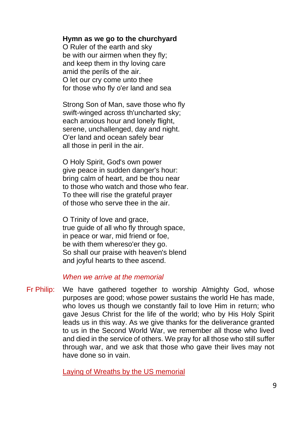#### **Hymn as we go to the churchyard**

O Ruler of the earth and sky be with our airmen when they fly; and keep them in thy loving care amid the perils of the air. O let our cry come unto thee for those who fly o'er land and sea

Strong Son of Man, save those who fly swift-winged across th'uncharted sky; each anxious hour and lonely flight, serene, unchallenged, day and night. O'er land and ocean safely bear all those in peril in the air.

O Holy Spirit, God's own power give peace in sudden danger's hour: bring calm of heart, and be thou near to those who watch and those who fear. To thee will rise the grateful prayer of those who serve thee in the air.

O Trinity of love and grace, true guide of all who fly through space, in peace or war, mid friend or foe, be with them whereso'er they go. So shall our praise with heaven's blend and joyful hearts to thee ascend.

#### *When we arrive at the memorial*

Fr Philip: We have gathered together to worship Almighty God, whose purposes are good; whose power sustains the world He has made, who loves us though we constantly fail to love Him in return; who gave Jesus Christ for the life of the world; who by His Holy Spirit leads us in this way. As we give thanks for the deliverance granted to us in the Second World War, we remember all those who lived and died in the service of others. We pray for all those who still suffer through war, and we ask that those who gave their lives may not have done so in vain.

Laying of Wreaths by the US memorial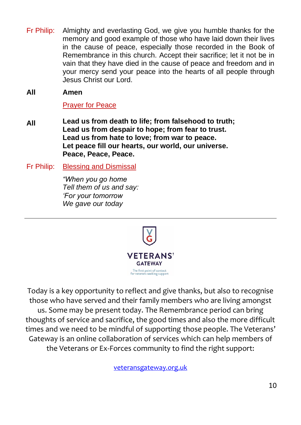Fr Philip: Almighty and everlasting God, we give you humble thanks for the memory and good example of those who have laid down their lives in the cause of peace, especially those recorded in the Book of Remembrance in this church. Accept their sacrifice; let it not be in vain that they have died in the cause of peace and freedom and in your mercy send your peace into the hearts of all people through Jesus Christ our Lord.

#### **All Amen**

### **Prayer for Peace**

- **All Lead us from death to life; from falsehood to truth; Lead us from despair to hope; from fear to trust. Lead us from hate to love; from war to peace. Let peace fill our hearts, our world, our universe. Peace, Peace, Peace.**
- Fr Philip: Blessing and Dismissal

*"When you go home Tell them of us and say: 'For your tomorrow We gave our today*



Today is a key opportunity to reflect and give thanks, but also to recognise those who have served and their family members who are living amongst us. Some may be present today. The Remembrance period can bring thoughts of service and sacrifice, the good times and also the more difficult times and we need to be mindful of supporting those people. The Veterans' Gateway is an online collaboration of services which can help members of the Veterans or Ex-Forces community to find the right support:

[veteransgateway.org.uk](https://www.veteransgateway.org.uk/)